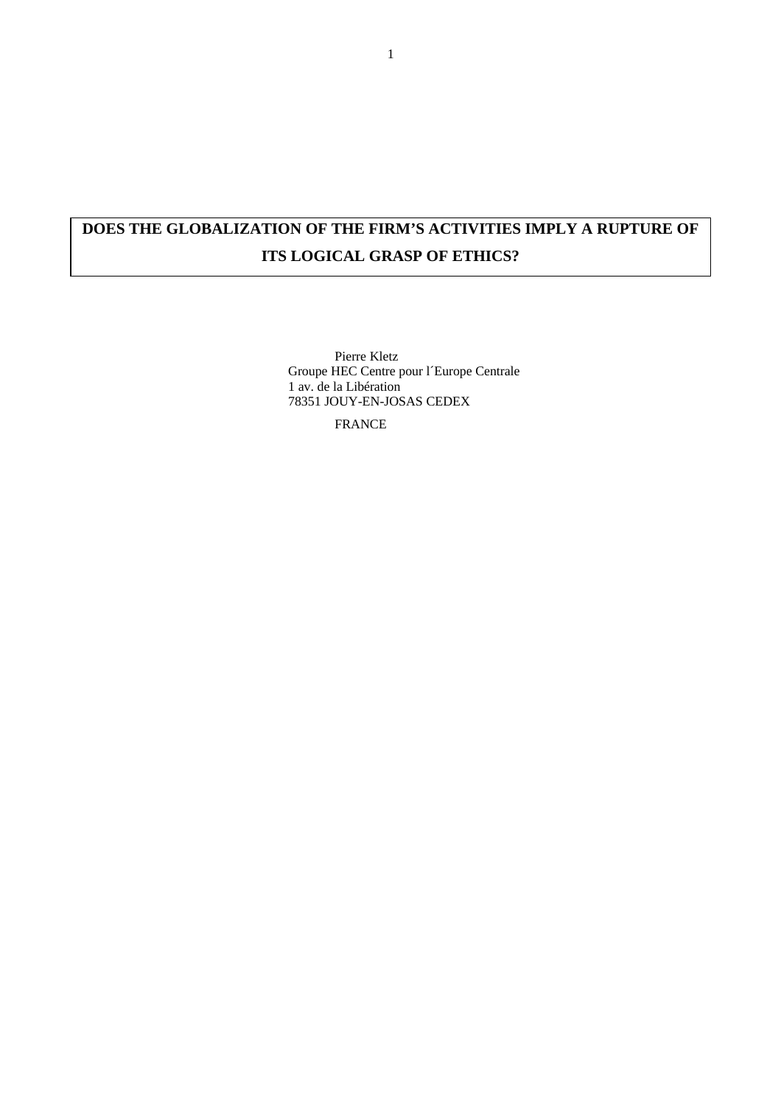# **DOES THE GLOBALIZATION OF THE FIRM'S ACTIVITIES IMPLY A RUPTURE OF ITS LOGICAL GRASP OF ETHICS?**

Pierre Kletz Groupe HEC Centre pour l´Europe Centrale 1 av. de la Libération 78351 JOUY-EN-JOSAS CEDEX

FRANCE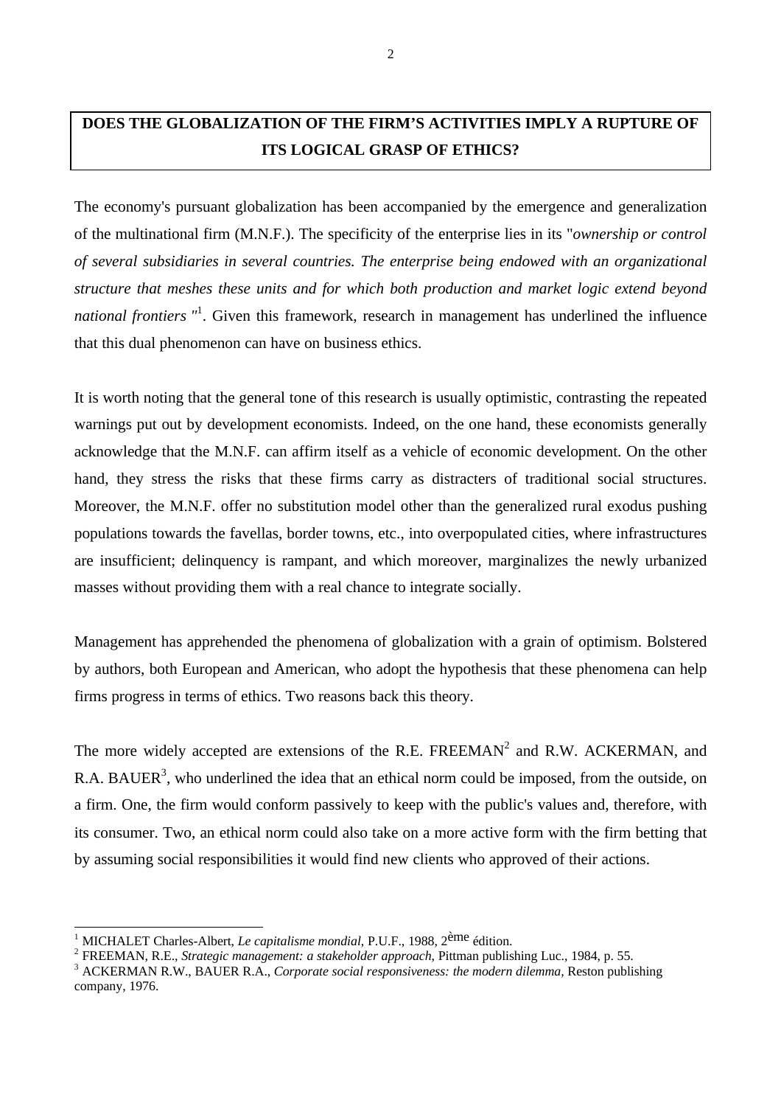# **DOES THE GLOBALIZATION OF THE FIRM'S ACTIVITIES IMPLY A RUPTURE OF ITS LOGICAL GRASP OF ETHICS?**

The economy's pursuant globalization has been accompanied by the emergence and generalization of the multinational firm (M.N.F.). The specificity of the enterprise lies in its "*ownership or control of several subsidiaries in several countries. The enterprise being endowed with an organizational structure that meshes these units and for which both production and market logic extend beyond national frontiers "*<sup>1</sup> . Given this framework, research in management has underlined the influence that this dual phenomenon can have on business ethics.

It is worth noting that the general tone of this research is usually optimistic, contrasting the repeated warnings put out by development economists. Indeed, on the one hand, these economists generally acknowledge that the M.N.F. can affirm itself as a vehicle of economic development. On the other hand, they stress the risks that these firms carry as distracters of traditional social structures. Moreover, the M.N.F. offer no substitution model other than the generalized rural exodus pushing populations towards the favellas, border towns, etc., into overpopulated cities, where infrastructures are insufficient; delinquency is rampant, and which moreover, marginalizes the newly urbanized masses without providing them with a real chance to integrate socially.

Management has apprehended the phenomena of globalization with a grain of optimism. Bolstered by authors, both European and American, who adopt the hypothesis that these phenomena can help firms progress in terms of ethics. Two reasons back this theory.

The more widely accepted are extensions of the R.E. FREEMAN<sup>2</sup> and R.W. ACKERMAN, and R.A. BAUER<sup>3</sup>, who underlined the idea that an ethical norm could be imposed, from the outside, on a firm. One, the firm would conform passively to keep with the public's values and, therefore, with its consumer. Two, an ethical norm could also take on a more active form with the firm betting that by assuming social responsibilities it would find new clients who approved of their actions.

<sup>1</sup> MICHALET Charles-Albert, *Le capitalisme mondial*, P.U.F., 1988, 2ème édition.

<sup>2</sup> FREEMAN, R.E., *Strategic management: a stakeholder approach*, Pittman publishing Luc., 1984, p. 55.

<sup>&</sup>lt;sup>3</sup> ACKERMAN R.W., BAUER R.A., *Corporate social responsiveness: the modern dilemma*, Reston publishing company, 1976.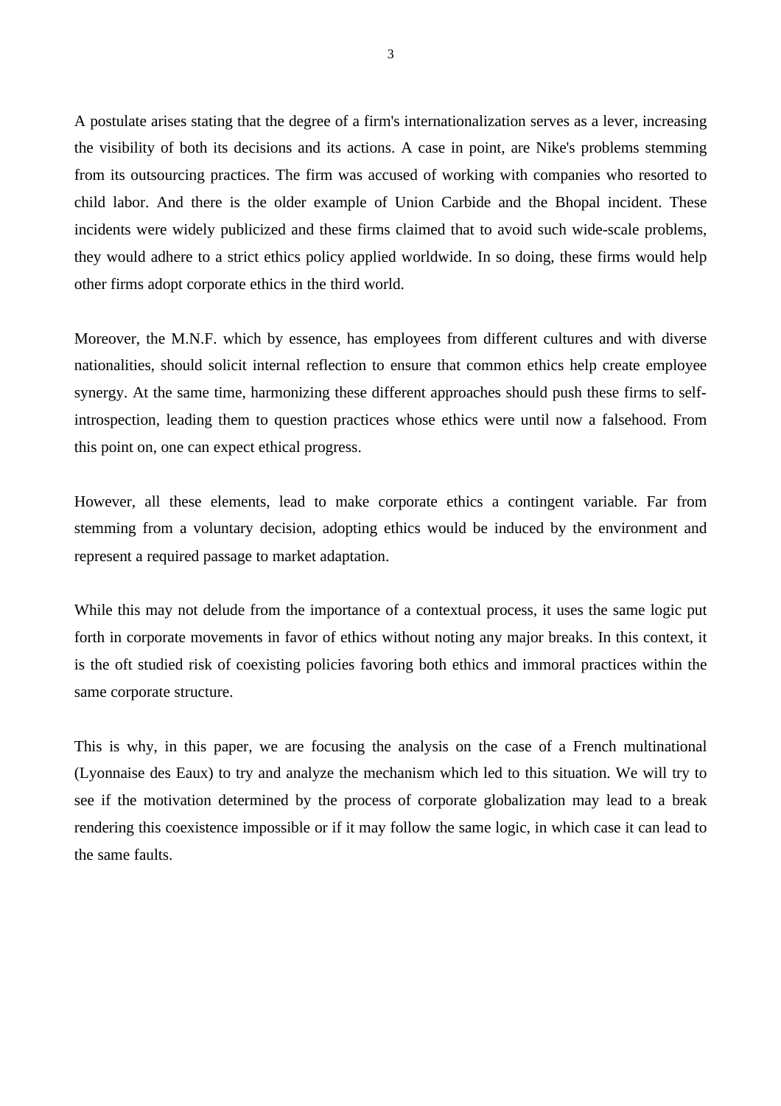A postulate arises stating that the degree of a firm's internationalization serves as a lever, increasing the visibility of both its decisions and its actions. A case in point, are Nike's problems stemming from its outsourcing practices. The firm was accused of working with companies who resorted to child labor. And there is the older example of Union Carbide and the Bhopal incident. These incidents were widely publicized and these firms claimed that to avoid such wide-scale problems, they would adhere to a strict ethics policy applied worldwide. In so doing, these firms would help other firms adopt corporate ethics in the third world.

Moreover, the M.N.F. which by essence, has employees from different cultures and with diverse nationalities, should solicit internal reflection to ensure that common ethics help create employee synergy. At the same time, harmonizing these different approaches should push these firms to selfintrospection, leading them to question practices whose ethics were until now a falsehood. From this point on, one can expect ethical progress.

However, all these elements, lead to make corporate ethics a contingent variable. Far from stemming from a voluntary decision, adopting ethics would be induced by the environment and represent a required passage to market adaptation.

While this may not delude from the importance of a contextual process, it uses the same logic put forth in corporate movements in favor of ethics without noting any major breaks. In this context, it is the oft studied risk of coexisting policies favoring both ethics and immoral practices within the same corporate structure.

This is why, in this paper, we are focusing the analysis on the case of a French multinational (Lyonnaise des Eaux) to try and analyze the mechanism which led to this situation. We will try to see if the motivation determined by the process of corporate globalization may lead to a break rendering this coexistence impossible or if it may follow the same logic, in which case it can lead to the same faults.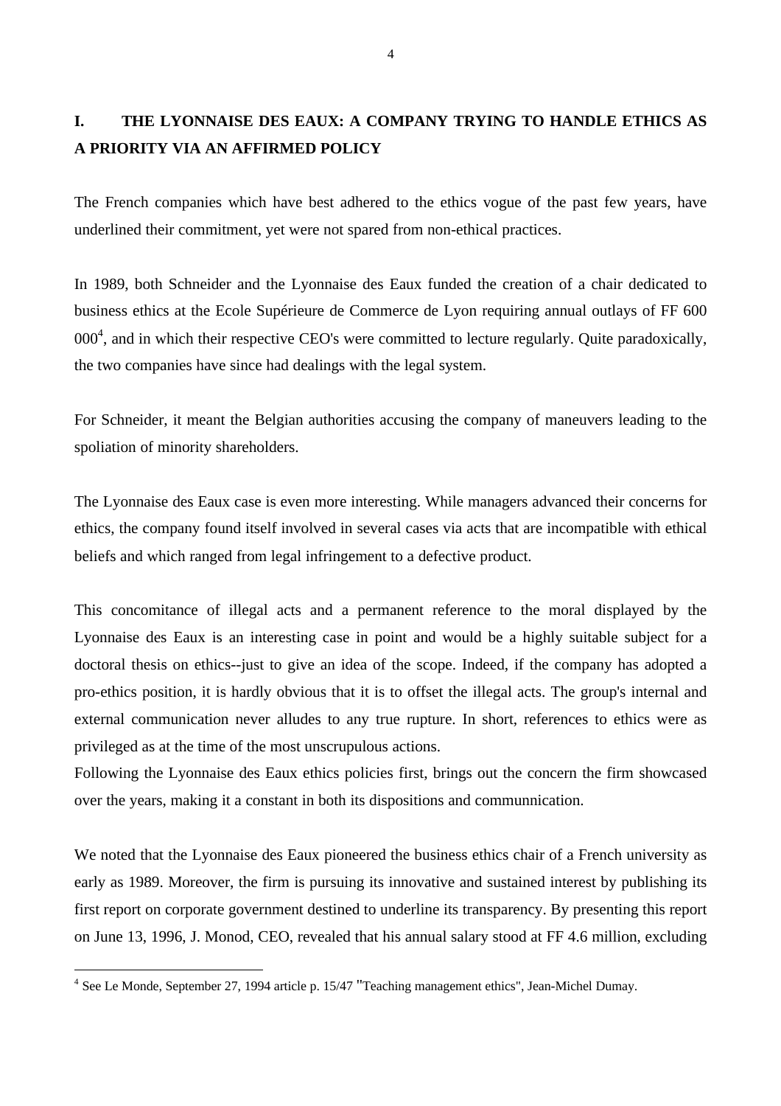# **I. THE LYONNAISE DES EAUX: A COMPANY TRYING TO HANDLE ETHICS AS A PRIORITY VIA AN AFFIRMED POLICY**

The French companies which have best adhered to the ethics vogue of the past few years, have underlined their commitment, yet were not spared from non-ethical practices.

In 1989, both Schneider and the Lyonnaise des Eaux funded the creation of a chair dedicated to business ethics at the Ecole Supérieure de Commerce de Lyon requiring annual outlays of FF 600  $000<sup>4</sup>$ , and in which their respective CEO's were committed to lecture regularly. Quite paradoxically, the two companies have since had dealings with the legal system.

For Schneider, it meant the Belgian authorities accusing the company of maneuvers leading to the spoliation of minority shareholders.

The Lyonnaise des Eaux case is even more interesting. While managers advanced their concerns for ethics, the company found itself involved in several cases via acts that are incompatible with ethical beliefs and which ranged from legal infringement to a defective product.

This concomitance of illegal acts and a permanent reference to the moral displayed by the Lyonnaise des Eaux is an interesting case in point and would be a highly suitable subject for a doctoral thesis on ethics--just to give an idea of the scope. Indeed, if the company has adopted a pro-ethics position, it is hardly obvious that it is to offset the illegal acts. The group's internal and external communication never alludes to any true rupture. In short, references to ethics were as privileged as at the time of the most unscrupulous actions.

Following the Lyonnaise des Eaux ethics policies first, brings out the concern the firm showcased over the years, making it a constant in both its dispositions and communnication.

We noted that the Lyonnaise des Eaux pioneered the business ethics chair of a French university as early as 1989. Moreover, the firm is pursuing its innovative and sustained interest by publishing its first report on corporate government destined to underline its transparency. By presenting this report on June 13, 1996, J. Monod, CEO, revealed that his annual salary stood at FF 4.6 million, excluding

<sup>&</sup>lt;sup>4</sup> See Le Monde, September 27, 1994 article p. 15/47 "Teaching management ethics", Jean-Michel Dumay.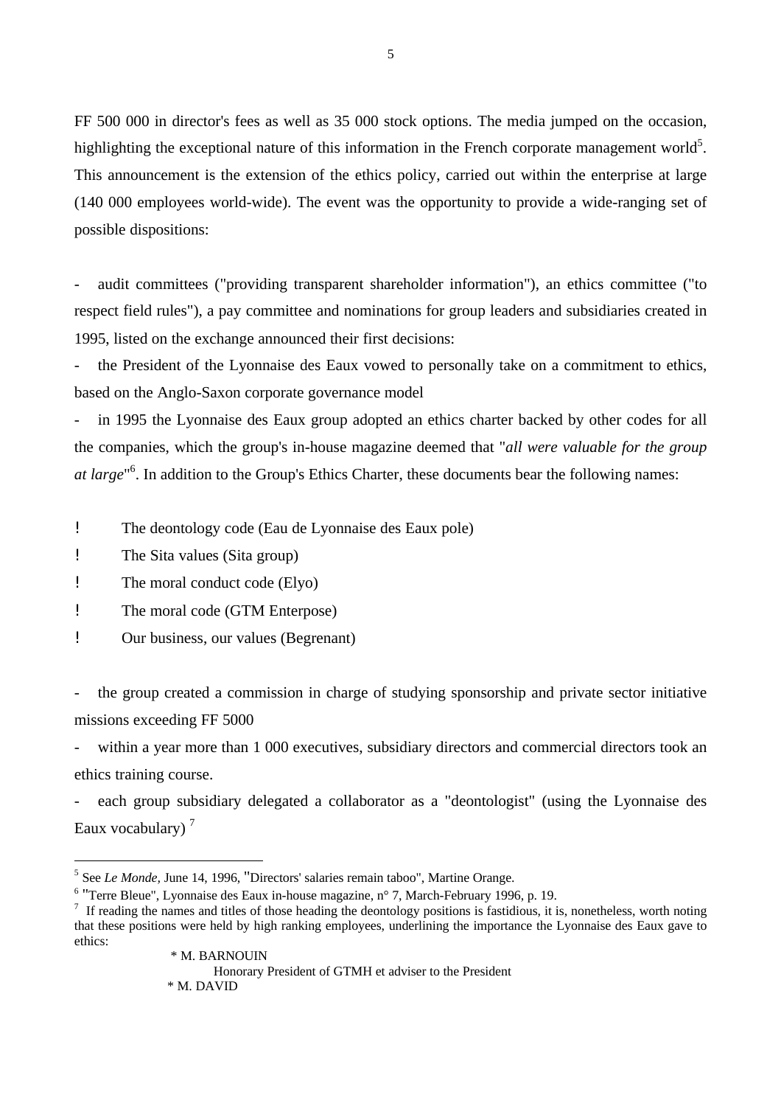FF 500 000 in director's fees as well as 35 000 stock options. The media jumped on the occasion, highlighting the exceptional nature of this information in the French corporate management world<sup>5</sup>. This announcement is the extension of the ethics policy, carried out within the enterprise at large (140 000 employees world-wide). The event was the opportunity to provide a wide-ranging set of possible dispositions:

- audit committees ("providing transparent shareholder information"), an ethics committee ("to respect field rules"), a pay committee and nominations for group leaders and subsidiaries created in 1995, listed on the exchange announced their first decisions:

- the President of the Lyonnaise des Eaux vowed to personally take on a commitment to ethics, based on the Anglo-Saxon corporate governance model

- in 1995 the Lyonnaise des Eaux group adopted an ethics charter backed by other codes for all the companies, which the group's in-house magazine deemed that "*all were valuable for the group at large*" 6 . In addition to the Group's Ethics Charter, these documents bear the following names:

! The deontology code (Eau de Lyonnaise des Eaux pole)

! The Sita values (Sita group)

 $\overline{a}$ 

! The moral conduct code (Elyo)

! The moral code (GTM Enterpose)

! Our business, our values (Begrenant)

- the group created a commission in charge of studying sponsorship and private sector initiative missions exceeding FF 5000

within a year more than 1 000 executives, subsidiary directors and commercial directors took an ethics training course.

each group subsidiary delegated a collaborator as a "deontologist" (using the Lyonnaise des Eaux vocabulary)<sup>7</sup>

<sup>6</sup> "Terre Bleue", Lyonnaise des Eaux in-house magazine, n° 7, March-February 1996, p. 19.

<sup>5</sup> See *Le Monde,* June 14, 1996, "Directors' salaries remain taboo", Martine Orange.

 $<sup>7</sup>$  If reading the names and titles of those heading the deontology positions is fastidious, it is, nonetheless, worth noting</sup> that these positions were held by high ranking employees, underlining the importance the Lyonnaise des Eaux gave to ethics: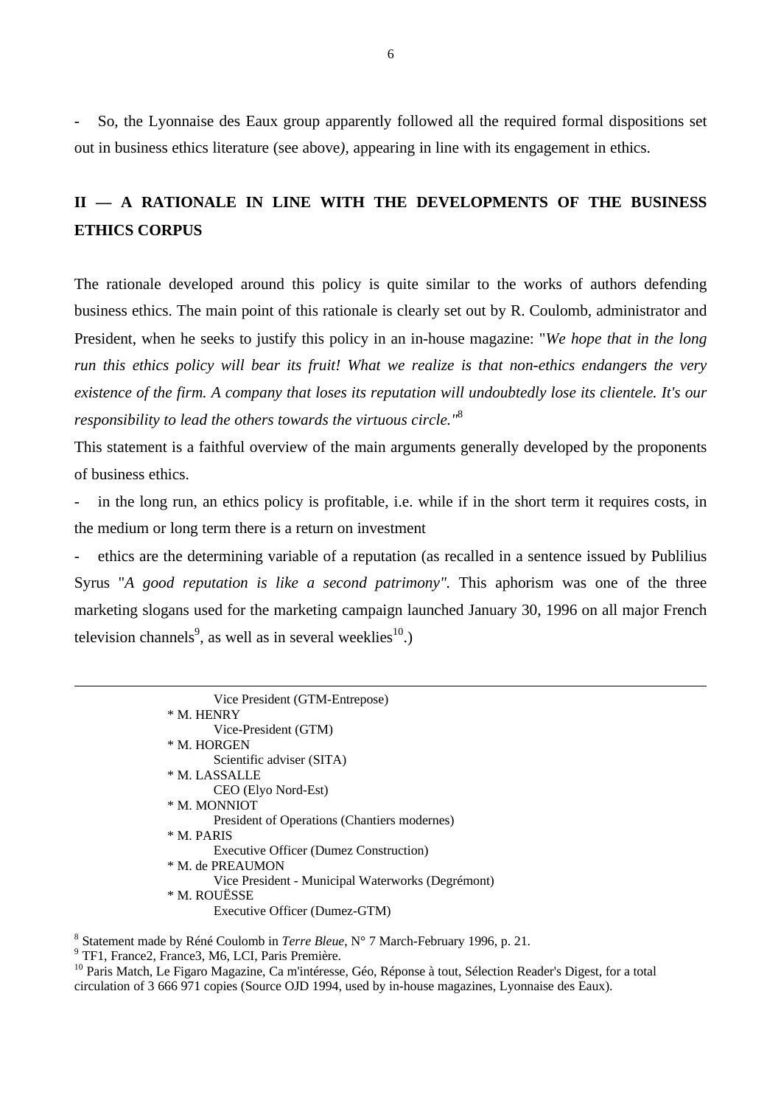- So, the Lyonnaise des Eaux group apparently followed all the required formal dispositions set out in business ethics literature (see above*),* appearing in line with its engagement in ethics.

### **II — A RATIONALE IN LINE WITH THE DEVELOPMENTS OF THE BUSINESS ETHICS CORPUS**

The rationale developed around this policy is quite similar to the works of authors defending business ethics. The main point of this rationale is clearly set out by R. Coulomb, administrator and President, when he seeks to justify this policy in an in-house magazine: "*We hope that in the long run this ethics policy will bear its fruit! What we realize is that non-ethics endangers the very existence of the firm. A company that loses its reputation will undoubtedly lose its clientele. It's our responsibility to lead the others towards the virtuous circle."*<sup>8</sup>

This statement is a faithful overview of the main arguments generally developed by the proponents of business ethics.

in the long run, an ethics policy is profitable, i.e. while if in the short term it requires costs, in the medium or long term there is a return on investment

- ethics are the determining variable of a reputation (as recalled in a sentence issued by Publilius Syrus "*A good reputation is like a second patrimony".* This aphorism was one of the three marketing slogans used for the marketing campaign launched January 30, 1996 on all major French television channels<sup>9</sup>, as well as in several weeklies<sup>10</sup>.)

> Vice President (GTM-Entrepose) \* M. HENRY Vice-President (GTM) \* M. HORGEN Scientific adviser (SITA) \* M. LASSALLE CEO (Elyo Nord-Est) \* M. MONNIOT President of Operations (Chantiers modernes) \* M. PARIS Executive Officer (Dumez Construction) \* M. de PREAUMON Vice President - Municipal Waterworks (Degrémont) \* M. ROUËSSE Executive Officer (Dumez-GTM)

8 Statement made by Réné Coulomb in *Terre Bleue*, N° 7 March-February 1996, p. 21.

9 TF1, France2, France3, M6, LCI, Paris Première.

 $\overline{a}$ 

<sup>10</sup> Paris Match, Le Figaro Magazine, Ca m'intéresse, Géo, Réponse à tout, Sélection Reader's Digest, for a total circulation of 3 666 971 copies (Source OJD 1994, used by in-house magazines, Lyonnaise des Eaux).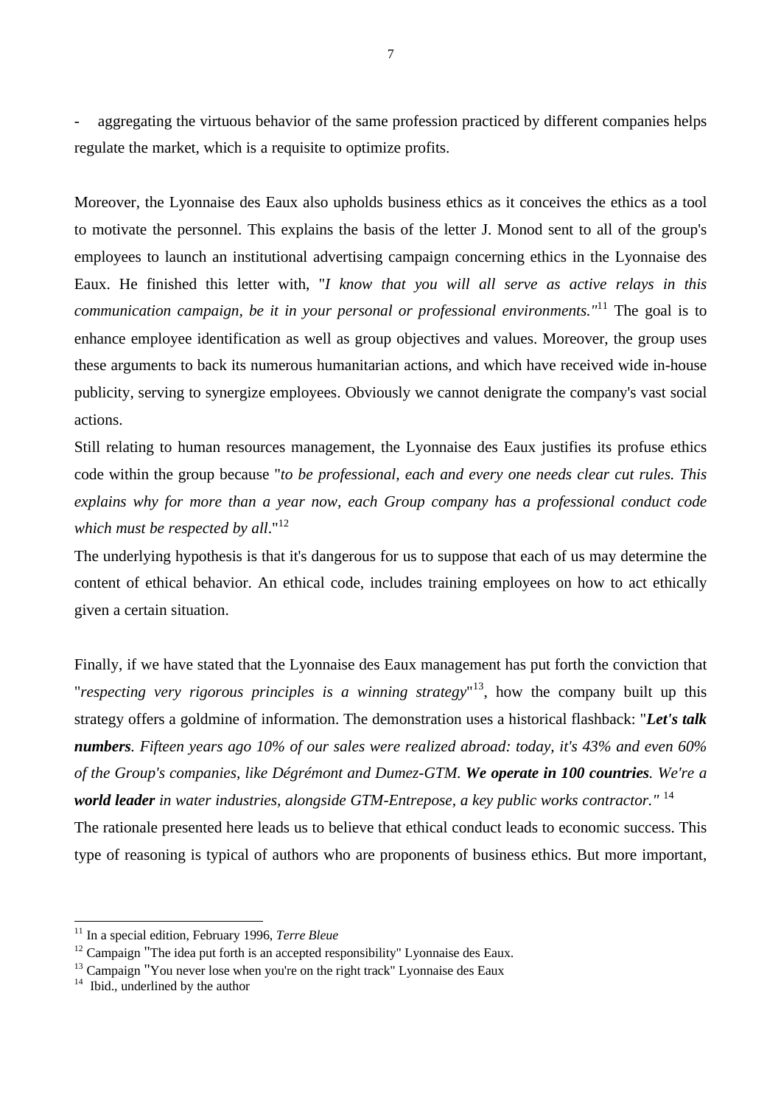aggregating the virtuous behavior of the same profession practiced by different companies helps regulate the market, which is a requisite to optimize profits.

Moreover, the Lyonnaise des Eaux also upholds business ethics as it conceives the ethics as a tool to motivate the personnel. This explains the basis of the letter J. Monod sent to all of the group's employees to launch an institutional advertising campaign concerning ethics in the Lyonnaise des Eaux. He finished this letter with, "*I know that you will all serve as active relays in this communication campaign, be it in your personal or professional environments."*<sup>11</sup> The goal is to enhance employee identification as well as group objectives and values. Moreover, the group uses these arguments to back its numerous humanitarian actions, and which have received wide in-house publicity, serving to synergize employees. Obviously we cannot denigrate the company's vast social actions.

Still relating to human resources management, the Lyonnaise des Eaux justifies its profuse ethics code within the group because "*to be professional, each and every one needs clear cut rules. This explains why for more than a year now, each Group company has a professional conduct code which must be respected by all.*"<sup>12</sup>

The underlying hypothesis is that it's dangerous for us to suppose that each of us may determine the content of ethical behavior. An ethical code, includes training employees on how to act ethically given a certain situation.

Finally, if we have stated that the Lyonnaise des Eaux management has put forth the conviction that "*respecting very rigorous principles is a winning strategy*" <sup>13</sup>, how the company built up this strategy offers a goldmine of information. The demonstration uses a historical flashback: "*Let's talk numbers. Fifteen years ago 10% of our sales were realized abroad: today, it's 43% and even 60% of the Group's companies, like Dégrémont and Dumez-GTM. We operate in 100 countries. We're a world leader in water industries, alongside GTM-Entrepose, a key public works contractor."* <sup>14</sup> The rationale presented here leads us to believe that ethical conduct leads to economic success. This

type of reasoning is typical of authors who are proponents of business ethics. But more important,

<sup>11</sup> In a special edition, February 1996, *Terre Bleue*

 $12$  Campaign "The idea put forth is an accepted responsibility" Lyonnaise des Eaux.

 $13$  Campaign "You never lose when you're on the right track" Lyonnaise des Eaux

<sup>&</sup>lt;sup>14</sup> Ibid., underlined by the author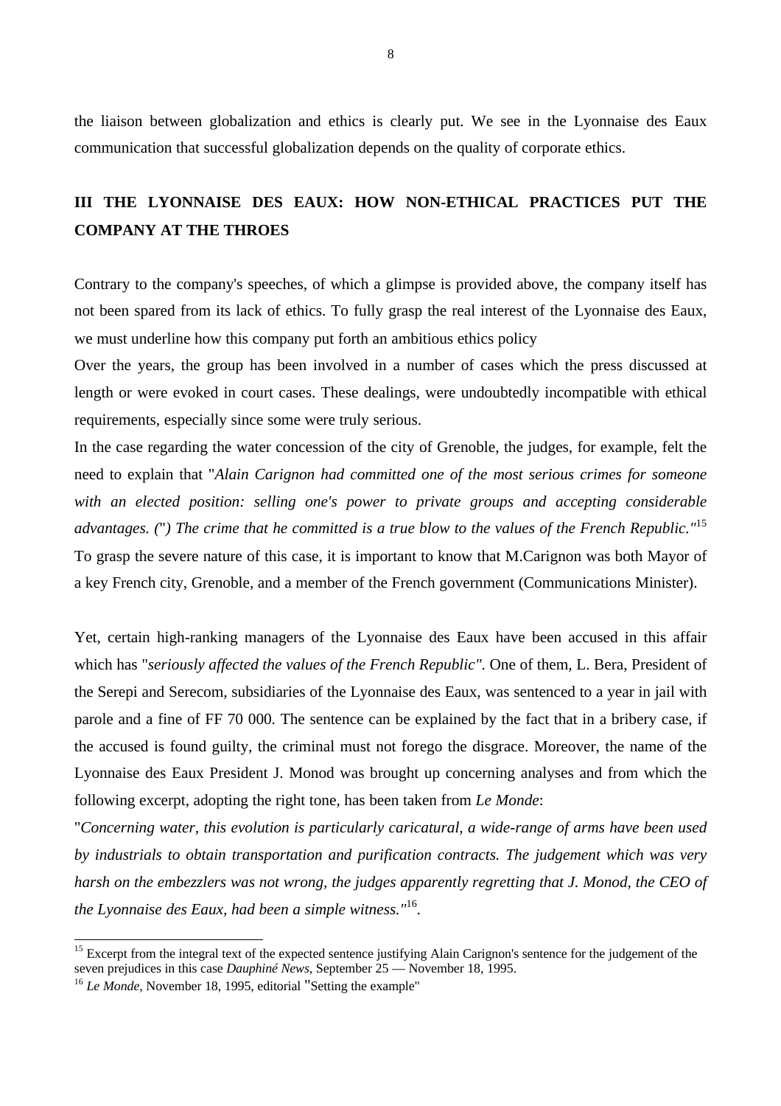the liaison between globalization and ethics is clearly put. We see in the Lyonnaise des Eaux communication that successful globalization depends on the quality of corporate ethics.

### **III THE LYONNAISE DES EAUX: HOW NON-ETHICAL PRACTICES PUT THE COMPANY AT THE THROES**

Contrary to the company's speeches, of which a glimpse is provided above, the company itself has not been spared from its lack of ethics. To fully grasp the real interest of the Lyonnaise des Eaux, we must underline how this company put forth an ambitious ethics policy

Over the years, the group has been involved in a number of cases which the press discussed at length or were evoked in court cases. These dealings, were undoubtedly incompatible with ethical requirements, especially since some were truly serious.

In the case regarding the water concession of the city of Grenoble, the judges, for example, felt the need to explain that "*Alain Carignon had committed one of the most serious crimes for someone with an elected position: selling one's power to private groups and accepting considerable advantages. (*"*) The crime that he committed is a true blow to the values of the French Republic."*<sup>15</sup> To grasp the severe nature of this case, it is important to know that M.Carignon was both Mayor of a key French city, Grenoble, and a member of the French government (Communications Minister).

Yet, certain high-ranking managers of the Lyonnaise des Eaux have been accused in this affair which has "*seriously affected the values of the French Republic"*. One of them, L. Bera, President of the Serepi and Serecom, subsidiaries of the Lyonnaise des Eaux, was sentenced to a year in jail with parole and a fine of FF 70 000. The sentence can be explained by the fact that in a bribery case, if the accused is found guilty, the criminal must not forego the disgrace. Moreover, the name of the Lyonnaise des Eaux President J. Monod was brought up concerning analyses and from which the following excerpt, adopting the right tone, has been taken from *Le Monde*:

"*Concerning water, this evolution is particularly caricatural, a wide-range of arms have been used by industrials to obtain transportation and purification contracts. The judgement which was very harsh on the embezzlers was not wrong, the judges apparently regretting that J. Monod, the CEO of the Lyonnaise des Eaux, had been a simple witness."*<sup>16</sup> *.*

<sup>&</sup>lt;sup>15</sup> Excerpt from the integral text of the expected sentence justifying Alain Carignon's sentence for the judgement of the seven prejudices in this case *Dauphiné News*, September 25 — November 18, 1995.

<sup>16</sup> *Le Monde*, November 18, 1995, editorial "Setting the example"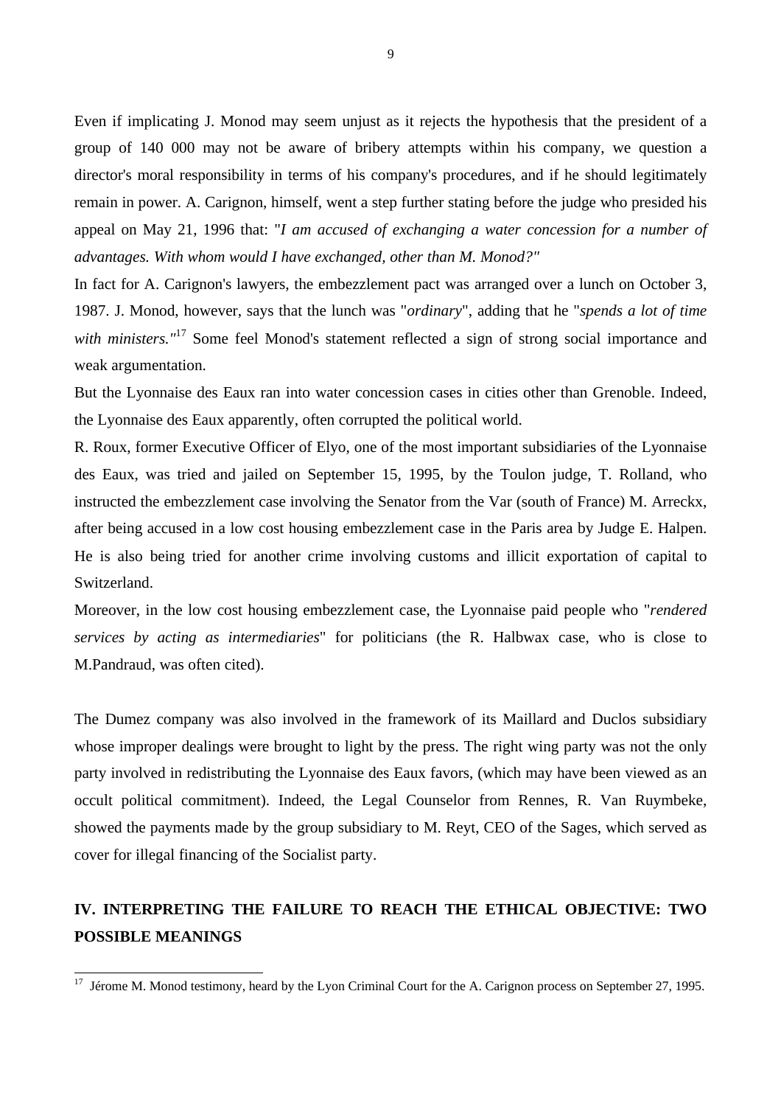Even if implicating J. Monod may seem unjust as it rejects the hypothesis that the president of a group of 140 000 may not be aware of bribery attempts within his company, we question a director's moral responsibility in terms of his company's procedures, and if he should legitimately remain in power. A. Carignon, himself, went a step further stating before the judge who presided his appeal on May 21, 1996 that: "*I am accused of exchanging a water concession for a number of advantages. With whom would I have exchanged, other than M. Monod?"*

In fact for A. Carignon's lawyers, the embezzlement pact was arranged over a lunch on October 3, 1987. J. Monod, however, says that the lunch was "*ordinary*", adding that he "*spends a lot of time* with ministers.<sup>"<sup>17</sup> Some feel Monod's statement reflected a sign of strong social importance and</sup> weak argumentation.

But the Lyonnaise des Eaux ran into water concession cases in cities other than Grenoble. Indeed, the Lyonnaise des Eaux apparently, often corrupted the political world.

R. Roux, former Executive Officer of Elyo, one of the most important subsidiaries of the Lyonnaise des Eaux, was tried and jailed on September 15, 1995, by the Toulon judge, T. Rolland, who instructed the embezzlement case involving the Senator from the Var (south of France) M. Arreckx, after being accused in a low cost housing embezzlement case in the Paris area by Judge E. Halpen. He is also being tried for another crime involving customs and illicit exportation of capital to Switzerland.

Moreover, in the low cost housing embezzlement case, the Lyonnaise paid people who "*rendered services by acting as intermediaries*" for politicians (the R. Halbwax case, who is close to M.Pandraud, was often cited).

The Dumez company was also involved in the framework of its Maillard and Duclos subsidiary whose improper dealings were brought to light by the press. The right wing party was not the only party involved in redistributing the Lyonnaise des Eaux favors, (which may have been viewed as an occult political commitment). Indeed, the Legal Counselor from Rennes, R. Van Ruymbeke, showed the payments made by the group subsidiary to M. Reyt, CEO of the Sages, which served as cover for illegal financing of the Socialist party.

# **IV. INTERPRETING THE FAILURE TO REACH THE ETHICAL OBJECTIVE: TWO POSSIBLE MEANINGS**

 $17$  Jérome M. Monod testimony, heard by the Lyon Criminal Court for the A. Carignon process on September 27, 1995.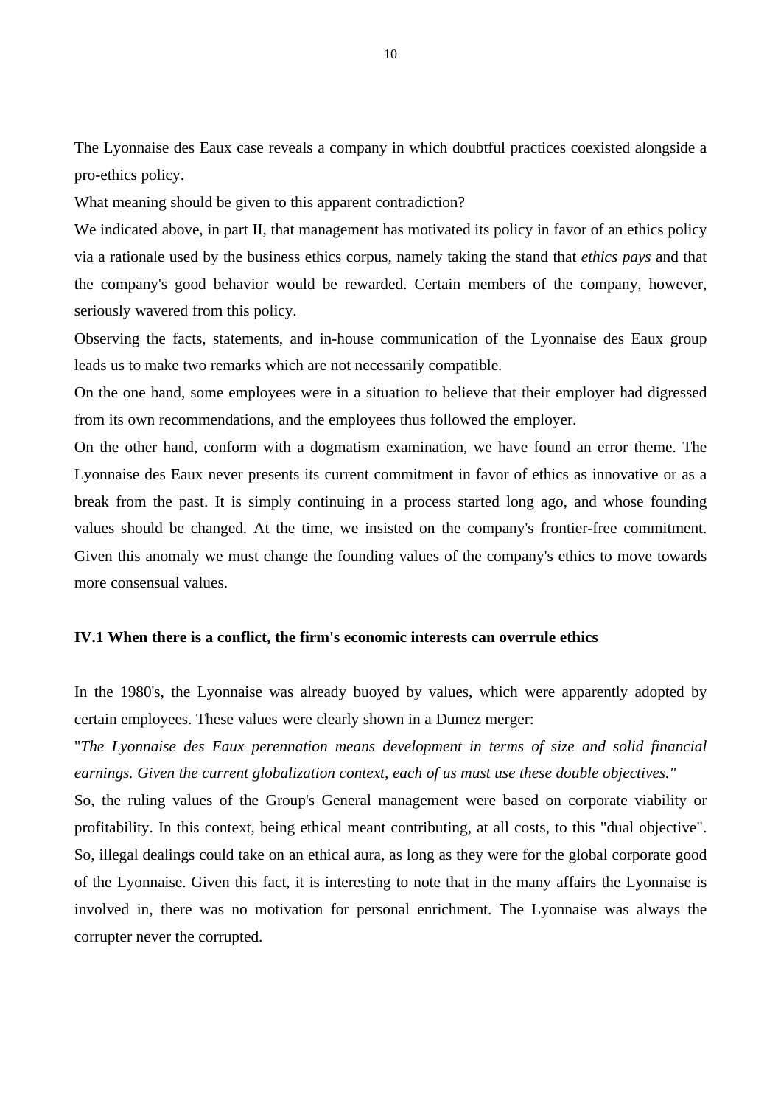The Lyonnaise des Eaux case reveals a company in which doubtful practices coexisted alongside a pro-ethics policy.

What meaning should be given to this apparent contradiction?

We indicated above, in part II, that management has motivated its policy in favor of an ethics policy via a rationale used by the business ethics corpus, namely taking the stand that *ethics pays* and that the company's good behavior would be rewarded. Certain members of the company, however, seriously wavered from this policy.

Observing the facts, statements, and in-house communication of the Lyonnaise des Eaux group leads us to make two remarks which are not necessarily compatible.

On the one hand, some employees were in a situation to believe that their employer had digressed from its own recommendations, and the employees thus followed the employer.

On the other hand, conform with a dogmatism examination, we have found an error theme. The Lyonnaise des Eaux never presents its current commitment in favor of ethics as innovative or as a break from the past. It is simply continuing in a process started long ago, and whose founding values should be changed. At the time, we insisted on the company's frontier-free commitment. Given this anomaly we must change the founding values of the company's ethics to move towards more consensual values.

#### **IV.1 When there is a conflict, the firm's economic interests can overrule ethics**

In the 1980's, the Lyonnaise was already buoyed by values, which were apparently adopted by certain employees. These values were clearly shown in a Dumez merger:

"*The Lyonnaise des Eaux perennation means development in terms of size and solid financial earnings. Given the current globalization context, each of us must use these double objectives."*

So, the ruling values of the Group's General management were based on corporate viability or profitability. In this context, being ethical meant contributing, at all costs, to this "dual objective". So, illegal dealings could take on an ethical aura, as long as they were for the global corporate good of the Lyonnaise. Given this fact, it is interesting to note that in the many affairs the Lyonnaise is involved in, there was no motivation for personal enrichment. The Lyonnaise was always the corrupter never the corrupted.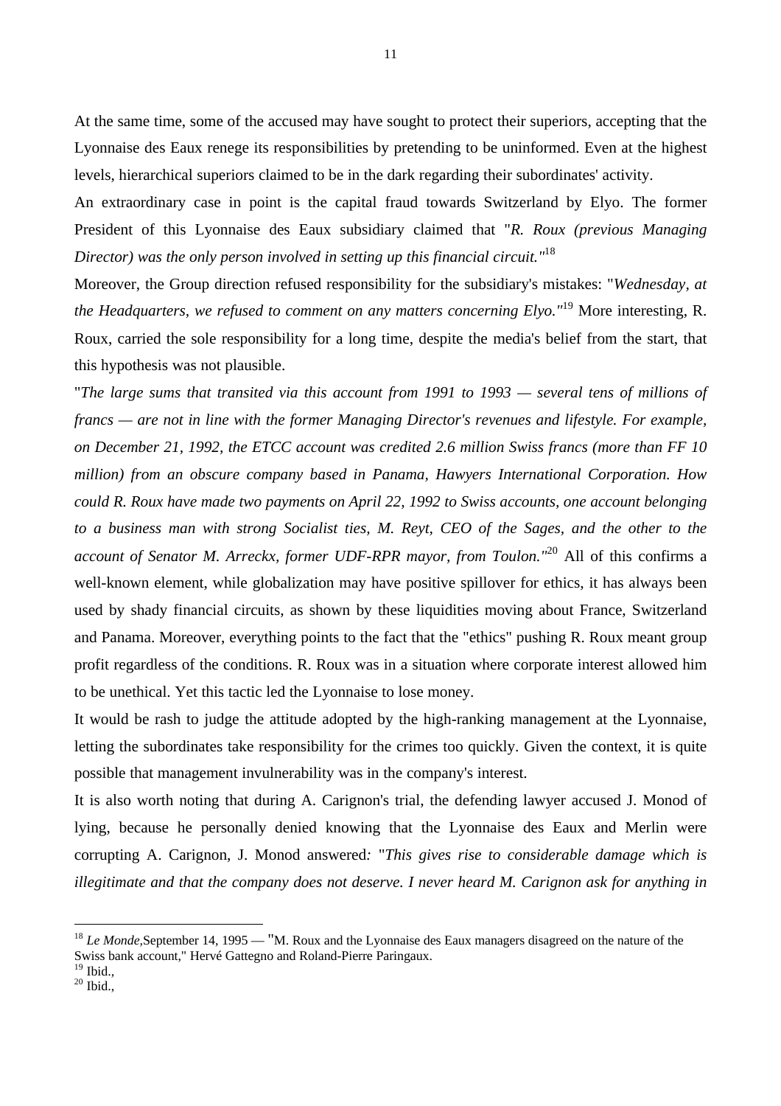At the same time, some of the accused may have sought to protect their superiors, accepting that the Lyonnaise des Eaux renege its responsibilities by pretending to be uninformed. Even at the highest levels, hierarchical superiors claimed to be in the dark regarding their subordinates' activity.

An extraordinary case in point is the capital fraud towards Switzerland by Elyo. The former President of this Lyonnaise des Eaux subsidiary claimed that "*R. Roux (previous Managing Director) was the only person involved in setting up this financial circuit."*<sup>18</sup>

Moreover, the Group direction refused responsibility for the subsidiary's mistakes: "*Wednesday, at the Headquarters, we refused to comment on any matters concerning Elyo."*<sup>19</sup> More interesting, R. Roux, carried the sole responsibility for a long time, despite the media's belief from the start, that this hypothesis was not plausible.

"*The large sums that transited via this account from 1991 to 1993 — several tens of millions of francs — are not in line with the former Managing Director's revenues and lifestyle. For example, on December 21, 1992, the ETCC account was credited 2.6 million Swiss francs (more than FF 10 million) from an obscure company based in Panama, Hawyers International Corporation. How could R. Roux have made two payments on April 22, 1992 to Swiss accounts, one account belonging to a business man with strong Socialist ties, M. Reyt, CEO of the Sages, and the other to the account of Senator M. Arreckx, former UDF-RPR mayor, from Toulon."*<sup>20</sup> All of this confirms a well-known element, while globalization may have positive spillover for ethics, it has always been used by shady financial circuits, as shown by these liquidities moving about France, Switzerland and Panama. Moreover, everything points to the fact that the "ethics" pushing R. Roux meant group profit regardless of the conditions. R. Roux was in a situation where corporate interest allowed him to be unethical. Yet this tactic led the Lyonnaise to lose money.

It would be rash to judge the attitude adopted by the high-ranking management at the Lyonnaise, letting the subordinates take responsibility for the crimes too quickly. Given the context, it is quite possible that management invulnerability was in the company's interest.

It is also worth noting that during A. Carignon's trial, the defending lawyer accused J. Monod of lying, because he personally denied knowing that the Lyonnaise des Eaux and Merlin were corrupting A. Carignon, J. Monod answered*:* "*This gives rise to considerable damage which is illegitimate and that the company does not deserve. I never heard M. Carignon ask for anything in*

<sup>&</sup>lt;sup>18</sup> *Le Monde*, September 14, 1995 — "M. Roux and the Lyonnaise des Eaux managers disagreed on the nature of the Swiss bank account," Hervé Gattegno and Roland-Pierre Paringaux.

 $19$  Ibid.,

 $20$  Ibid.,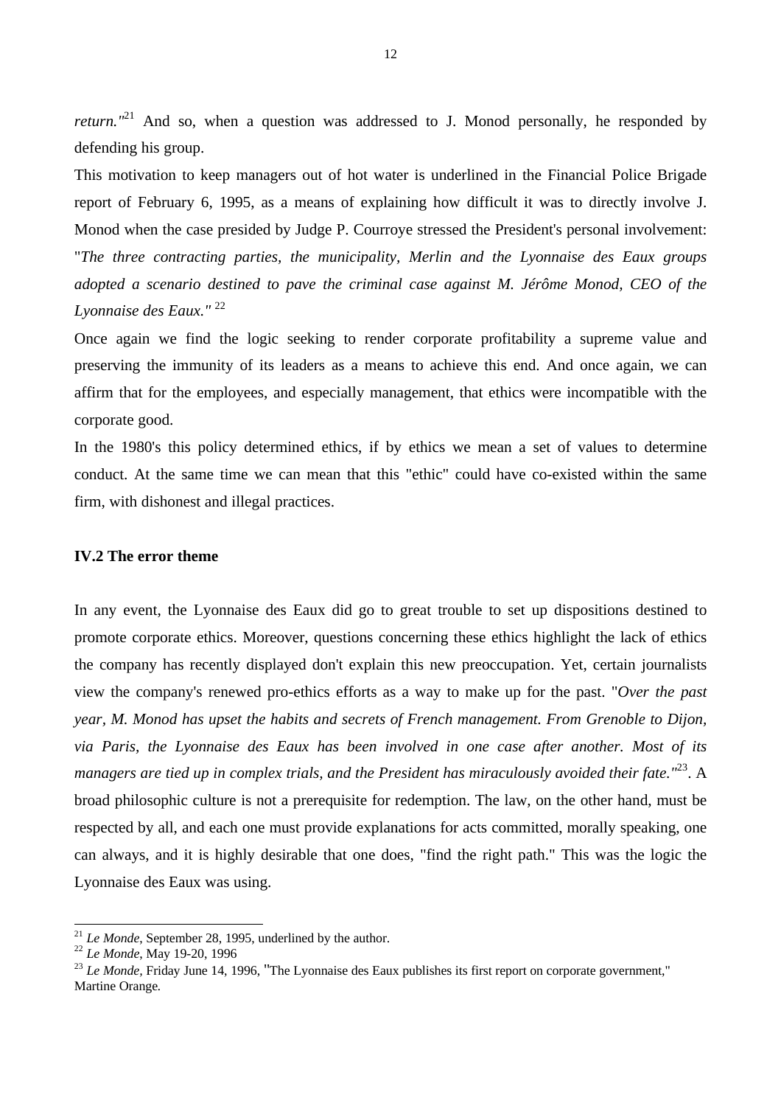*return.*"<sup>21</sup> And so, when a question was addressed to J. Monod personally, he responded by defending his group.

This motivation to keep managers out of hot water is underlined in the Financial Police Brigade report of February 6, 1995, as a means of explaining how difficult it was to directly involve J. Monod when the case presided by Judge P. Courroye stressed the President's personal involvement: "*The three contracting parties, the municipality, Merlin and the Lyonnaise des Eaux groups adopted a scenario destined to pave the criminal case against M. Jérôme Monod, CEO of the Lyonnaise des Eaux."* <sup>22</sup>

Once again we find the logic seeking to render corporate profitability a supreme value and preserving the immunity of its leaders as a means to achieve this end. And once again, we can affirm that for the employees, and especially management, that ethics were incompatible with the corporate good.

In the 1980's this policy determined ethics, if by ethics we mean a set of values to determine conduct. At the same time we can mean that this "ethic" could have co-existed within the same firm, with dishonest and illegal practices.

#### **IV.2 The error theme**

In any event, the Lyonnaise des Eaux did go to great trouble to set up dispositions destined to promote corporate ethics. Moreover, questions concerning these ethics highlight the lack of ethics the company has recently displayed don't explain this new preoccupation. Yet, certain journalists view the company's renewed pro-ethics efforts as a way to make up for the past. "*Over the past year, M. Monod has upset the habits and secrets of French management. From Grenoble to Dijon, via Paris, the Lyonnaise des Eaux has been involved in one case after another. Most of its managers are tied up in complex trials, and the President has miraculously avoided their fate."*<sup>23</sup>. A broad philosophic culture is not a prerequisite for redemption. The law, on the other hand, must be respected by all, and each one must provide explanations for acts committed, morally speaking, one can always, and it is highly desirable that one does, "find the right path." This was the logic the Lyonnaise des Eaux was using.

<sup>&</sup>lt;sup>21</sup> *Le Monde*, September 28, 1995, underlined by the author.

<sup>22</sup> *Le Monde*, May 19-20, 1996

<sup>&</sup>lt;sup>23</sup> *Le Monde*. Fridav June 14, 1996. "The Lyonnaise des Eaux publishes its first report on corporate government," Martine Orange*.*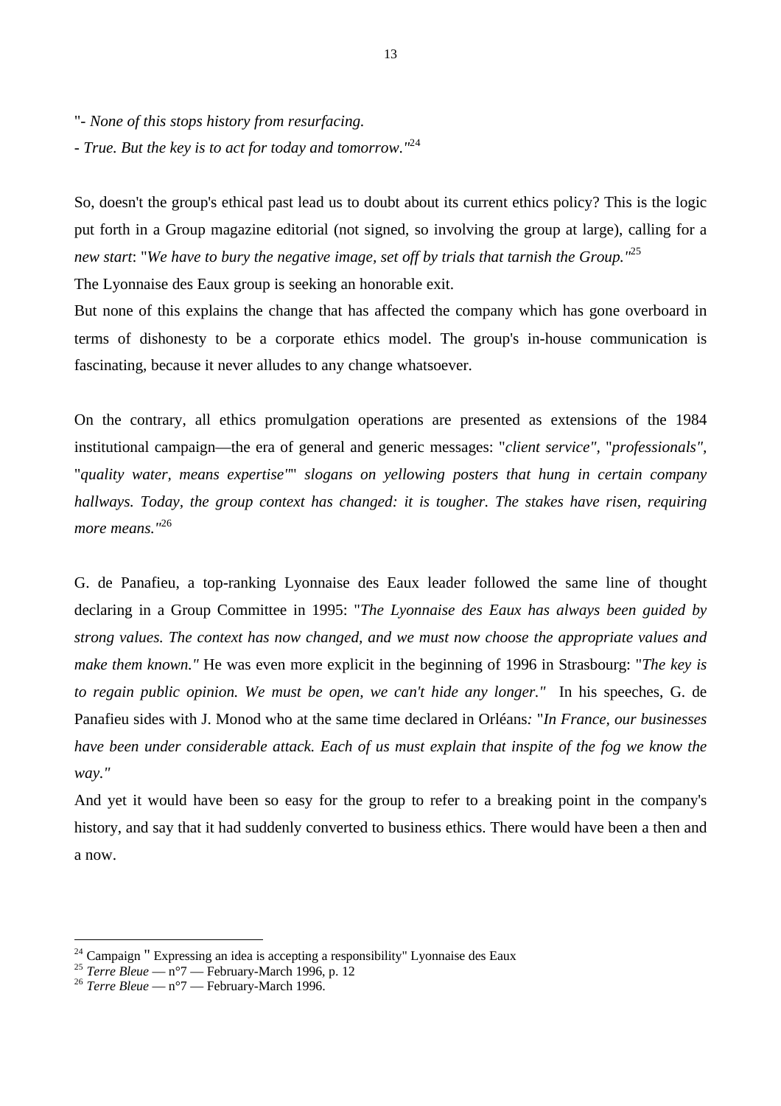"*- None of this stops history from resurfacing. - True. But the key is to act for today and tomorrow*.*"* 24

So, doesn't the group's ethical past lead us to doubt about its current ethics policy? This is the logic put forth in a Group magazine editorial (not signed, so involving the group at large), calling for a *new start*: "*We have to bury the negative image, set off by trials that tarnish the Group."*<sup>25</sup>

The Lyonnaise des Eaux group is seeking an honorable exit.

But none of this explains the change that has affected the company which has gone overboard in terms of dishonesty to be a corporate ethics model. The group's in-house communication is fascinating, because it never alludes to any change whatsoever.

On the contrary, all ethics promulgation operations are presented as extensions of the 1984 institutional campaign—the era of general and generic messages: "*client service",* "*professionals",* "*quality water, means expertise"*" *slogans on yellowing posters that hung in certain company hallways. Today, the group context has changed: it is tougher. The stakes have risen, requiring more means."*<sup>26</sup>

G. de Panafieu, a top-ranking Lyonnaise des Eaux leader followed the same line of thought declaring in a Group Committee in 1995: "*The Lyonnaise des Eaux has always been guided by strong values. The context has now changed, and we must now choose the appropriate values and make them known."* He was even more explicit in the beginning of 1996 in Strasbourg: "*The key is to regain public opinion. We must be open, we can't hide any longer."* In his speeches, G. de Panafieu sides with J. Monod who at the same time declared in Orléans*:* "*In France, our businesses have been under considerable attack. Each of us must explain that inspite of the fog we know the way."*

And yet it would have been so easy for the group to refer to a breaking point in the company's history, and say that it had suddenly converted to business ethics. There would have been a then and a now.

 $24$  Campaign " Expressing an idea is accepting a responsibility" Lyonnaise des Eaux

<sup>&</sup>lt;sup>25</sup> *Terre Bleue* — n°7 — February-March 1996, p. 12

<sup>26</sup> *Terre Bleue* — n°7 — February-March 1996.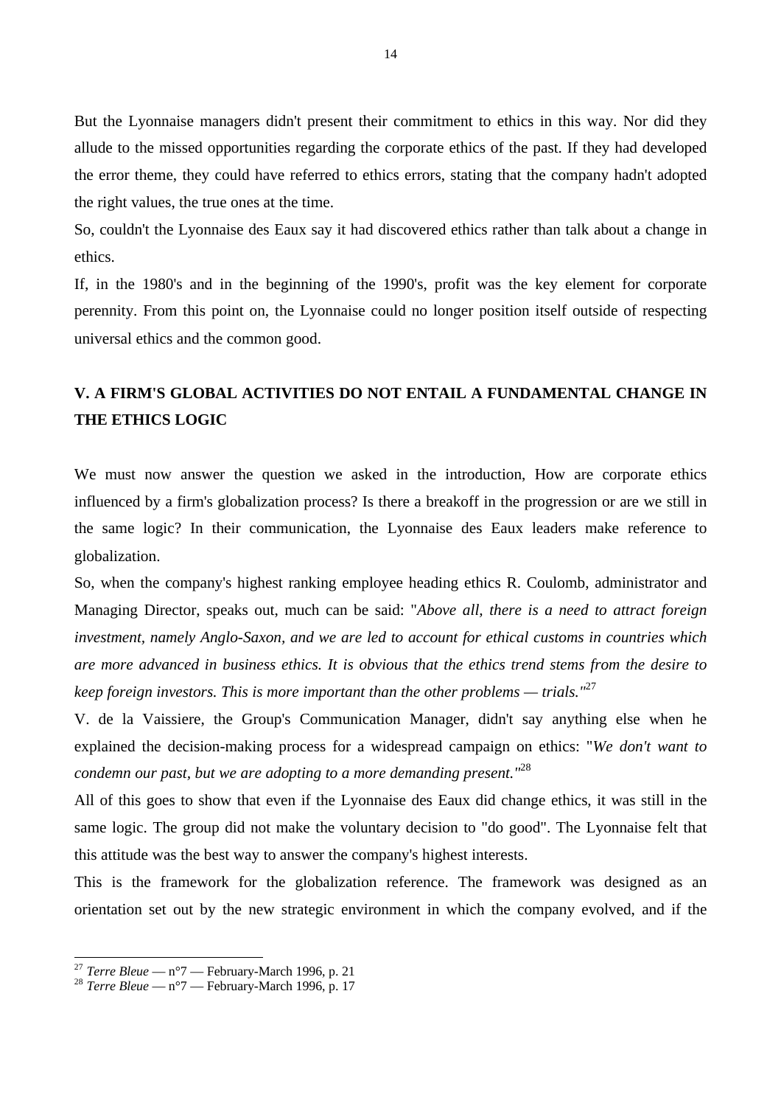But the Lyonnaise managers didn't present their commitment to ethics in this way. Nor did they allude to the missed opportunities regarding the corporate ethics of the past. If they had developed the error theme, they could have referred to ethics errors, stating that the company hadn't adopted the right values, the true ones at the time.

So, couldn't the Lyonnaise des Eaux say it had discovered ethics rather than talk about a change in ethics.

If, in the 1980's and in the beginning of the 1990's, profit was the key element for corporate perennity. From this point on, the Lyonnaise could no longer position itself outside of respecting universal ethics and the common good.

### **V. A FIRM'S GLOBAL ACTIVITIES DO NOT ENTAIL A FUNDAMENTAL CHANGE IN THE ETHICS LOGIC**

We must now answer the question we asked in the introduction, How are corporate ethics influenced by a firm's globalization process? Is there a breakoff in the progression or are we still in the same logic? In their communication, the Lyonnaise des Eaux leaders make reference to globalization.

So, when the company's highest ranking employee heading ethics R. Coulomb, administrator and Managing Director, speaks out, much can be said: "*Above all, there is a need to attract foreign investment, namely Anglo-Saxon, and we are led to account for ethical customs in countries which are more advanced in business ethics. It is obvious that the ethics trend stems from the desire to keep foreign investors. This is more important than the other problems — trials."*<sup>27</sup>

V. de la Vaissiere, the Group's Communication Manager, didn't say anything else when he explained the decision-making process for a widespread campaign on ethics: "*We don't want to condemn our past, but we are adopting to a more demanding present."*<sup>28</sup>

All of this goes to show that even if the Lyonnaise des Eaux did change ethics, it was still in the same logic. The group did not make the voluntary decision to "do good". The Lyonnaise felt that this attitude was the best way to answer the company's highest interests.

This is the framework for the globalization reference. The framework was designed as an orientation set out by the new strategic environment in which the company evolved, and if the

<sup>27</sup> *Terre Bleue* — n°7 — February-March 1996, p. 21

<sup>28</sup> *Terre Bleue* — n°7 — February-March 1996, p. 17